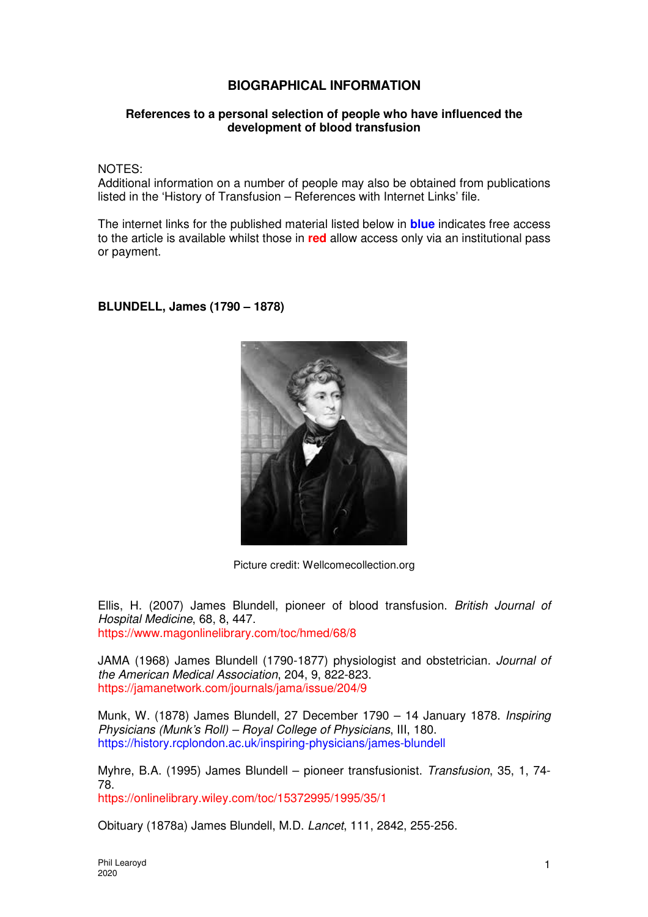## **BIOGRAPHICAL INFORMATION**

## **References to a personal selection of people who have influenced the development of blood transfusion**

NOTES:

Additional information on a number of people may also be obtained from publications listed in the 'History of Transfusion – References with Internet Links' file.

The internet links for the published material listed below in **blue** indicates free access to the article is available whilst those in **red** allow access only via an institutional pass or payment.

**BLUNDELL, James (1790 – 1878)** 



Picture credit: Wellcomecollection.org

Ellis, H. (2007) James Blundell, pioneer of blood transfusion. British Journal of Hospital Medicine, 68, 8, 447. https://www.magonlinelibrary.com/toc/hmed/68/8

JAMA (1968) James Blundell (1790-1877) physiologist and obstetrician. Journal of the American Medical Association, 204, 9, 822-823. https://jamanetwork.com/journals/jama/issue/204/9

Munk, W. (1878) James Blundell, 27 December 1790 – 14 January 1878. Inspiring Physicians (Munk's Roll) – Royal College of Physicians, III, 180. https://history.rcplondon.ac.uk/inspiring-physicians/james-blundell

Myhre, B.A. (1995) James Blundell – pioneer transfusionist. Transfusion, 35, 1, 74- 78.

https://onlinelibrary.wiley.com/toc/15372995/1995/35/1

Obituary (1878a) James Blundell, M.D. Lancet, 111, 2842, 255-256.